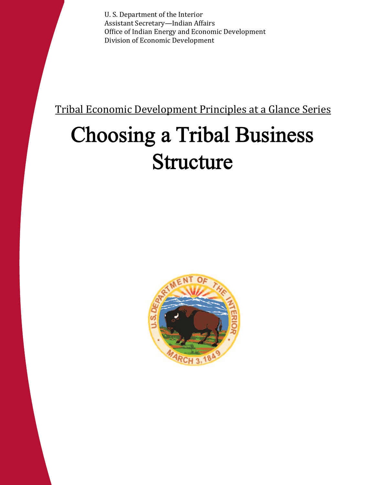Tribal Economic Development Principles at a Glance Series: U. S. Department of the Interior Choosing a Tribal Business Secretary—Indian Affairs Office of Indian Energy and Economic Development Division of Economic Development

Tribal Economic Development Principles at a Glance Series

# Choosing a Tribal Business Structure



Office of Indian Energy and Economic Development 1 Division of Economic Development

Assistant Secretary—Indian Affairs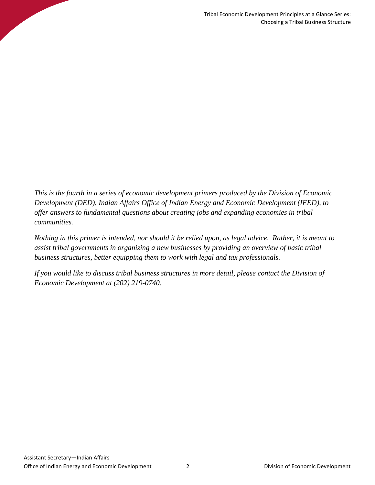*This is the fourth in a series of economic development primers produced by the Division of Economic Development (DED), Indian Affairs Office of Indian Energy and Economic Development (IEED), to offer answers to fundamental questions about creating jobs and expanding economies in tribal communities.*

*Nothing in this primer is intended, nor should it be relied upon, as legal advice. Rather, it is meant to assist tribal governments in organizing a new businesses by providing an overview of basic tribal business structures, better equipping them to work with legal and tax professionals.*

*If you would like to discuss tribal business structures in more detail, please contact the Division of Economic Development at (202) 219-0740.*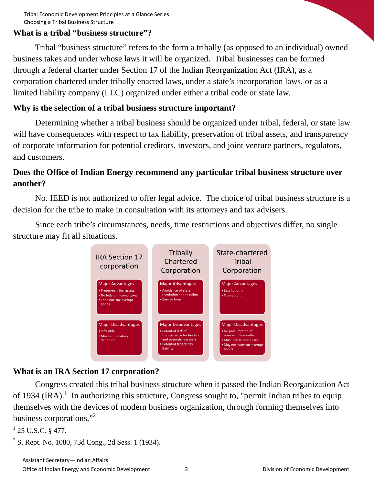#### **What is a tribal "business structure"?**

Tribal "business structure" refers to the form a tribally (as opposed to an individual) owned business takes and under whose laws it will be organized. Tribal businesses can be formed through a federal charter under Section 17 of the Indian Reorganization Act (IRA), as a corporation chartered under tribally enacted laws, under a state's incorporation laws, or as a limited liability company (LLC) organized under either a tribal code or state law.

#### **Why is the selection of a tribal business structure important?**

Determining whether a tribal business should be organized under tribal, federal, or state law will have consequences with respect to tax liability, preservation of tribal assets, and transparency of corporate information for potential creditors, investors, and joint venture partners, regulators, and customers.

# **Does the Office of Indian Energy recommend any particular tribal business structure over another?**

No. IEED is not authorized to offer legal advice. The choice of tribal business structure is a decision for the tribe to make in consultation with its attorneys and tax advisers.

Since each tribe's circumstances, needs, time restrictions and objectives differ, no single structure may fit all situations.



## **What is an IRA Section 17 corporation?**

Congress created this tribal business structure when it passed the Indian Reorganization Act of 1934 (IRA).<sup>1</sup> In authorizing this structure, Congress sought to, "permit Indian tribes to equip themselves with the devices of modern business organization, through forming themselves into business corporations."<sup>2</sup>

```
1 25 U.S.C. § 477.
```

```
2^2 S. Rept. No. 1080, 73d Cong., 2d Sess. 1 (1934).
```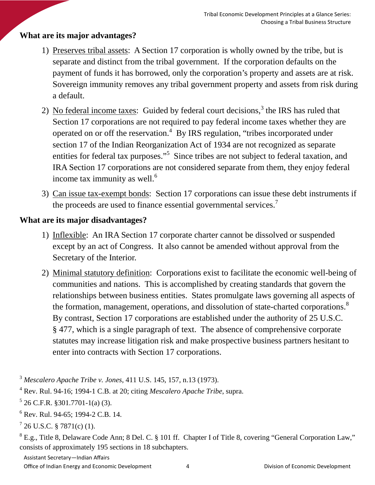# **What are its major advantages?**

- 1) Preserves tribal assets: A Section 17 corporation is wholly owned by the tribe, but is separate and distinct from the tribal government. If the corporation defaults on the payment of funds it has borrowed, only the corporation's property and assets are at risk. Sovereign immunity removes any tribal government property and assets from risk during a default.
- 2) No federal income taxes: Guided by federal court decisions,<sup>3</sup> the IRS has ruled that Section 17 corporations are not required to pay federal income taxes whether they are operated on or off the reservation.<sup>4</sup> By IRS regulation, "tribes incorporated under section 17 of the Indian Reorganization Act of 1934 are not recognized as separate entities for federal tax purposes."<sup>5</sup> Since tribes are not subject to federal taxation, and IRA Section 17 corporations are not considered separate from them, they enjoy federal income tax immunity as well.<sup>6</sup>
- 3) Can issue tax-exempt bonds: Section 17 corporations can issue these debt instruments if the proceeds are used to finance essential governmental services.<sup>7</sup>

## **What are its major disadvantages?**

- 1) Inflexible: An IRA Section 17 corporate charter cannot be dissolved or suspended except by an act of Congress. It also cannot be amended without approval from the Secretary of the Interior.
- 2) Minimal statutory definition: Corporations exist to facilitate the economic well-being of communities and nations. This is accomplished by creating standards that govern the relationships between business entities. States promulgate laws governing all aspects of the formation, management, operations, and dissolution of state-charted corporations.<sup>8</sup> By contrast, Section 17 corporations are established under the authority of 25 U.S.C. § 477, which is a single paragraph of text. The absence of comprehensive corporate statutes may increase litigation risk and make prospective business partners hesitant to enter into contracts with Section 17 corporations.

Assistant Secretary—Indian Affairs

Office of Indian Energy and Economic Development 4 The Seconomic Development and Division of Economic Development

<sup>3</sup> *Mescalero Apache Tribe v. Jones*, 411 U.S. 145, 157, n.13 (1973).

<sup>4</sup> Rev. Rul. 94-16; 1994-1 C.B. at 20; citing *Mescalero Apache Tribe*, supra.

 $5$  26 C.F.R. §301.7701-1(a) (3).

<sup>6</sup> Rev. Rul. 94-65; 1994-2 C.B. 14.

 $726$  U.S.C. § 7871(c) (1).

<sup>&</sup>lt;sup>8</sup> E.g., Title 8, Delaware Code Ann; 8 Del. C. § 101 ff. Chapter I of Title 8, covering "General Corporation Law," consists of approximately 195 sections in 18 subchapters.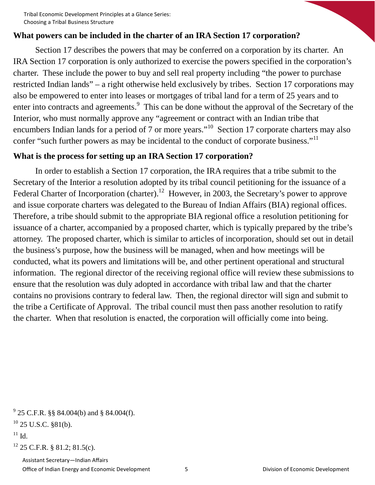### **What powers can be included in the charter of an IRA Section 17 corporation?**

Section 17 describes the powers that may be conferred on a corporation by its charter. An IRA Section 17 corporation is only authorized to exercise the powers specified in the corporation's charter. These include the power to buy and sell real property including "the power to purchase restricted Indian lands" – a right otherwise held exclusively by tribes. Section 17 corporations may also be empowered to enter into leases or mortgages of tribal land for a term of 25 years and to enter into contracts and agreements.<sup>9</sup> This can be done without the approval of the Secretary of the Interior, who must normally approve any "agreement or contract with an Indian tribe that encumbers Indian lands for a period of 7 or more years."<sup>10</sup> Section 17 corporate charters may also confer "such further powers as may be incidental to the conduct of corporate business."<sup>11</sup>

#### **What is the process for setting up an IRA Section 17 corporation?**

In order to establish a Section 17 corporation, the IRA requires that a tribe submit to the Secretary of the Interior a resolution adopted by its tribal council petitioning for the issuance of a Federal Charter of Incorporation (charter).<sup>12</sup> However, in 2003, the Secretary's power to approve and issue corporate charters was delegated to the Bureau of Indian Affairs (BIA) regional offices. Therefore, a tribe should submit to the appropriate BIA regional office a resolution petitioning for issuance of a charter, accompanied by a proposed charter, which is typically prepared by the tribe's attorney. The proposed charter, which is similar to articles of incorporation, should set out in detail the business's purpose, how the business will be managed, when and how meetings will be conducted, what its powers and limitations will be, and other pertinent operational and structural information. The regional director of the receiving regional office will review these submissions to ensure that the resolution was duly adopted in accordance with tribal law and that the charter contains no provisions contrary to federal law. Then, the regional director will sign and submit to the tribe a Certificate of Approval. The tribal council must then pass another resolution to ratify the charter. When that resolution is enacted, the corporation will officially come into being.

 $^{11}$  Id.

<sup>12</sup> 25 C.F.R. § 81.2; 81.5(c).

 $9^9$  25 C.F.R. §§ 84.004(b) and § 84.004(f).

 $10$  25 U.S.C. §81(b).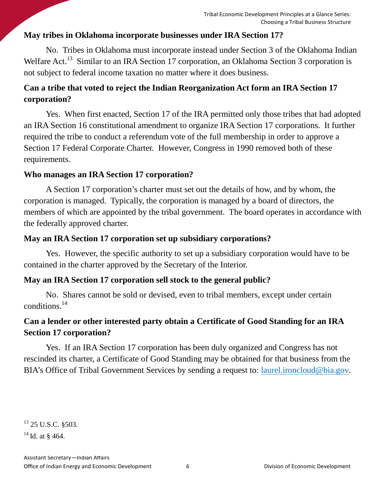# **May tribes in Oklahoma incorporate businesses under IRA Section 17?**

No. Tribes in Oklahoma must incorporate instead under Section 3 of the Oklahoma Indian Welfare Act.<sup>13</sup> Similar to an IRA Section 17 corporation, an Oklahoma Section 3 corporation is not subject to federal income taxation no matter where it does business.

# **Can a tribe that voted to reject the Indian Reorganization Act form an IRA Section 17 corporation?**

Yes. When first enacted, Section 17 of the IRA permitted only those tribes that had adopted an IRA Section 16 constitutional amendment to organize IRA Section 17 corporations. It further required the tribe to conduct a referendum vote of the full membership in order to approve a Section 17 Federal Corporate Charter. However, Congress in 1990 removed both of these requirements.

# **Who manages an IRA Section 17 corporation?**

A Section 17 corporation's charter must set out the details of how, and by whom, the corporation is managed. Typically, the corporation is managed by a board of directors, the members of which are appointed by the tribal government. The board operates in accordance with the federally approved charter.

# **May an IRA Section 17 corporation set up subsidiary corporations?**

Yes. However, the specific authority to set up a subsidiary corporation would have to be contained in the charter approved by the Secretary of the Interior.

# **May an IRA Section 17 corporation sell stock to the general public?**

No. Shares cannot be sold or devised, even to tribal members, except under certain conditions.<sup>14</sup>

# **Can a lender or other interested party obtain a Certificate of Good Standing for an IRA Section 17 corporation?**

Yes. If an IRA Section 17 corporation has been duly organized and Congress has not rescinded its charter, a Certificate of Good Standing may be obtained for that business from the BIA's Office of Tribal Government Services by sending a request to: laurel.ironcloud@bia.gov.

 $^{13}$  25 U.S.C. §503.

 $14$  Id. at § 464.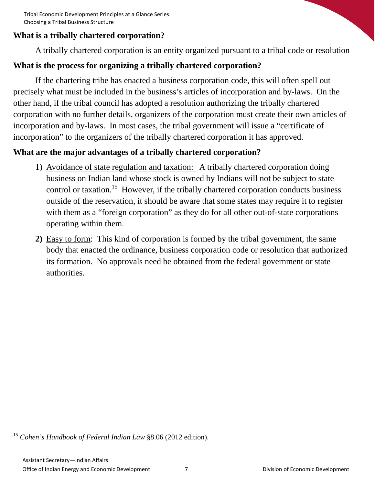## **What is a tribally chartered corporation?**

A tribally chartered corporation is an entity organized pursuant to a tribal code or resolution

## **What is the process for organizing a tribally chartered corporation?**

If the chartering tribe has enacted a business corporation code, this will often spell out precisely what must be included in the business's articles of incorporation and by-laws. On the other hand, if the tribal council has adopted a resolution authorizing the tribally chartered corporation with no further details, organizers of the corporation must create their own articles of incorporation and by-laws. In most cases, the tribal government will issue a "certificate of incorporation" to the organizers of the tribally chartered corporation it has approved.

#### **What are the major advantages of a tribally chartered corporation?**

- 1) Avoidance of state regulation and taxation: A tribally chartered corporation doing business on Indian land whose stock is owned by Indians will not be subject to state control or taxation.<sup>15</sup> However, if the tribally chartered corporation conducts business outside of the reservation, it should be aware that some states may require it to register with them as a "foreign corporation" as they do for all other out-of-state corporations operating within them.
- **2)** Easy to form: This kind of corporation is formed by the tribal government, the same body that enacted the ordinance, business corporation code or resolution that authorized its formation. No approvals need be obtained from the federal government or state authorities.

<sup>15</sup> *Cohen's Handbook of Federal Indian Law* §8.06 (2012 edition).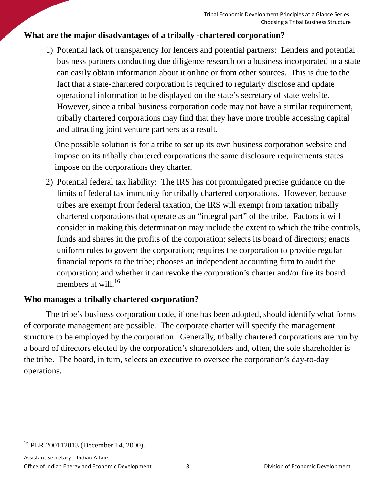# **What are the major disadvantages of a tribally -chartered corporation?**

1) Potential lack of transparency for lenders and potential partners: Lenders and potential business partners conducting due diligence research on a business incorporated in a state can easily obtain information about it online or from other sources. This is due to the fact that a state-chartered corporation is required to regularly disclose and update operational information to be displayed on the state's secretary of state website. However, since a tribal business corporation code may not have a similar requirement, tribally chartered corporations may find that they have more trouble accessing capital and attracting joint venture partners as a result.

One possible solution is for a tribe to set up its own business corporation website and impose on its tribally chartered corporations the same disclosure requirements states impose on the corporations they charter.

2) Potential federal tax liability: The IRS has not promulgated precise guidance on the limits of federal tax immunity for tribally chartered corporations. However, because tribes are exempt from federal taxation, the IRS will exempt from taxation tribally chartered corporations that operate as an "integral part" of the tribe. Factors it will consider in making this determination may include the extent to which the tribe controls, funds and shares in the profits of the corporation; selects its board of directors; enacts uniform rules to govern the corporation; requires the corporation to provide regular financial reports to the tribe; chooses an independent accounting firm to audit the corporation; and whether it can revoke the corporation's charter and/or fire its board members at will. $^{16}$ 

## **Who manages a tribally chartered corporation?**

The tribe's business corporation code, if one has been adopted, should identify what forms of corporate management are possible. The corporate charter will specify the management structure to be employed by the corporation. Generally, tribally chartered corporations are run by a board of directors elected by the corporation's shareholders and, often, the sole shareholder is the tribe. The board, in turn, selects an executive to oversee the corporation's day-to-day operations.

<sup>&</sup>lt;sup>16</sup> PLR 200112013 (December 14, 2000).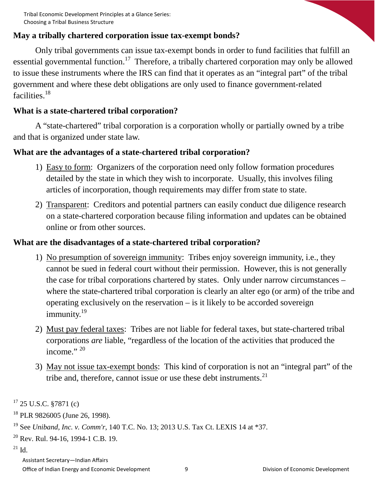## **May a tribally chartered corporation issue tax-exempt bonds?**

Only tribal governments can issue tax-exempt bonds in order to fund facilities that fulfill an essential governmental function.<sup>17</sup> Therefore, a tribally chartered corporation may only be allowed to issue these instruments where the IRS can find that it operates as an "integral part" of the tribal government and where these debt obligations are only used to finance government-related facilities<sup>18</sup>

## **What is a state-chartered tribal corporation?**

A "state-chartered" tribal corporation is a corporation wholly or partially owned by a tribe and that is organized under state law.

## **What are the advantages of a state-chartered tribal corporation?**

- 1) Easy to form: Organizers of the corporation need only follow formation procedures detailed by the state in which they wish to incorporate. Usually, this involves filing articles of incorporation, though requirements may differ from state to state.
- 2) Transparent: Creditors and potential partners can easily conduct due diligence research on a state-chartered corporation because filing information and updates can be obtained online or from other sources.

## **What are the disadvantages of a state-chartered tribal corporation?**

- 1) No presumption of sovereign immunity: Tribes enjoy sovereign immunity, i.e., they cannot be sued in federal court without their permission. However, this is not generally the case for tribal corporations chartered by states. Only under narrow circumstances – where the state-chartered tribal corporation is clearly an alter ego (or arm) of the tribe and operating exclusively on the reservation – is it likely to be accorded sovereign immunity.<sup>19</sup>
- 2) Must pay federal taxes: Tribes are not liable for federal taxes, but state-chartered tribal corporations *are* liable, "regardless of the location of the activities that produced the income." 20
- 3) May not issue tax-exempt bonds: This kind of corporation is not an "integral part" of the tribe and, therefore, cannot issue or use these debt instruments. $21$

- $20$  Rev. Rul. 94-16, 1994-1 C.B. 19.
- $21$  Id.

 $17$  25 U.S.C. §7871 (c)

<sup>18</sup> PLR 9826005 (June 26, 1998).

<sup>19</sup> See *Uniband, Inc. v. Comm'r*, 140 T.C. No. 13; 2013 U.S. Tax Ct. LEXIS 14 at \*37.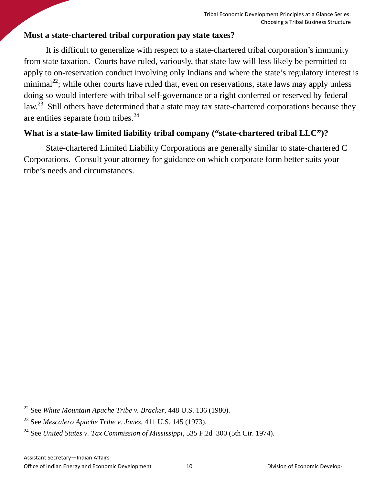## **Must a state-chartered tribal corporation pay state taxes?**

It is difficult to generalize with respect to a state-chartered tribal corporation's immunity from state taxation. Courts have ruled, variously, that state law will less likely be permitted to apply to on-reservation conduct involving only Indians and where the state's regulatory interest is minimal<sup>22</sup>; while other courts have ruled that, even on reservations, state laws may apply unless doing so would interfere with tribal self-governance or a right conferred or reserved by federal law.<sup>23</sup> Still others have determined that a state may tax state-chartered corporations because they are entities separate from tribes.<sup>24</sup>

# **What is a state-law limited liability tribal company ("state-chartered tribal LLC")?**

State-chartered Limited Liability Corporations are generally similar to state-chartered C Corporations. Consult your attorney for guidance on which corporate form better suits your tribe's needs and circumstances.

<sup>22</sup> See *White Mountain Apache Tribe v. Bracker*, 448 U.S. 136 (1980).

<sup>23</sup> See *Mescalero Apache Tribe v. Jones*, 411 U.S. 145 (1973).

<sup>24</sup> See *United States v. Tax Commission of Mississippi*, 535 F.2d 300 (5th Cir. 1974).